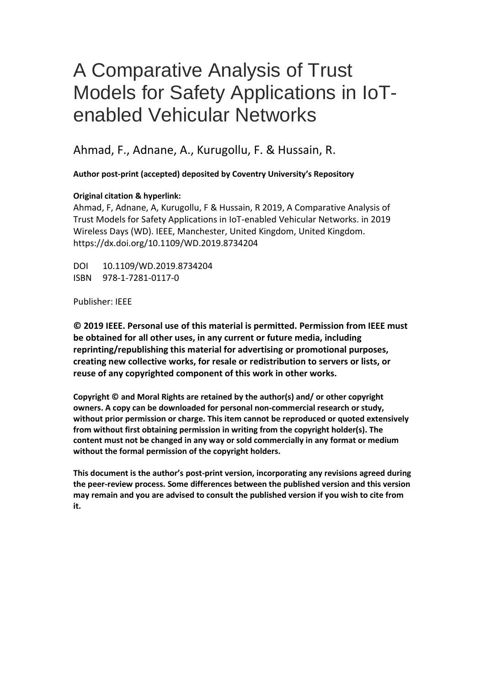# A Comparative Analysis of Trust Models for Safety Applications in IoTenabled Vehicular Networks

Ahmad, F., Adnane, A., Kurugollu, F. & Hussain, R.

 **Author post-print (accepted) deposited by Coventry University's Repository** 

# **Original citation & hyperlink:**

 Ahmad, F, Adnane, A, Kurugollu, F & Hussain, R 2019, A Comparative Analysis of Trust Models for Safety Applications in IoT-enabled Vehicular Networks. in 2019 Wireless Days (WD). IEEE, Manchester, United Kingdom, United Kingdom. https://dx.doi.org/10.1109/WD.2019.8734204

DOI 10.1109/WD.2019.8734204 ISBN 978-1-7281-0117-0

Publisher: IEEE

 **© 2019 IEEE. Personal use of this material is permitted. Permission from IEEE must be obtained for all other uses, in any current or future media, including reprinting/republishing this material for advertising or promotional purposes, creating new collective works, for resale or redistribution to servers or lists, or reuse of any copyrighted component of this work in other works.** 

 **owners. A copy can be downloaded for personal non-commercial research or study, without prior permission or charge. This item cannot be reproduced or quoted extensively from without first obtaining permission in writing from the copyright holder(s). The content must not be changed in any way or sold commercially in any format or medium Copyright © and Moral Rights are retained by the author(s) and/ or other copyright without the formal permission of the copyright holders.** 

 **the peer-review process. Some differences between the published version and this version This document is the author's post-print version, incorporating any revisions agreed during may remain and you are advised to consult the published version if you wish to cite from it.**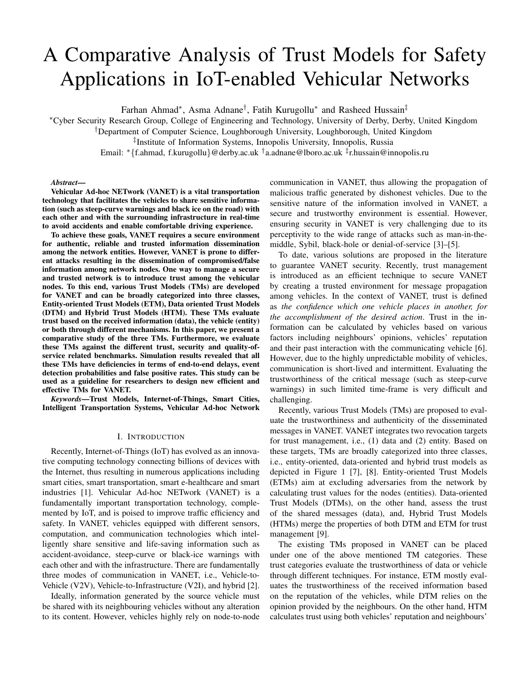# A Comparative Analysis of Trust Models for Safety Applications in IoT-enabled Vehicular Networks

Farhan Ahmad∗, Asma Adnane†, Fatih Kurugollu<sup>∗</sup> and Rasheed Hussain‡

<sup>∗</sup>Cyber Security Research Group, College of Engineering and Technology, University of Derby, Derby, United Kingdom

†Department of Computer Science, Loughborough University, Loughborough, United Kingdom

‡Institute of Information Systems, Innopolis University, Innopolis, Russia

Email: ∗{f.ahmad, f.kurugollu}@derby.ac.uk †a.adnane@lboro.ac.uk ‡r.hussain@innopolis.ru

#### *Abstract*—

Vehicular Ad-hoc NETwork (VANET) is a vital transportation technology that facilitates the vehicles to share sensitive information (such as steep-curve warnings and black ice on the road) with each other and with the surrounding infrastructure in real-time to avoid accidents and enable comfortable driving experience.

To achieve these goals, VANET requires a secure environment for authentic, reliable and trusted information dissemination among the network entities. However, VANET is prone to different attacks resulting in the dissemination of compromised/false information among network nodes. One way to manage a secure and trusted network is to introduce trust among the vehicular nodes. To this end, various Trust Models (TMs) are developed for VANET and can be broadly categorized into three classes, Entity-oriented Trust Models (ETM), Data oriented Trust Models (DTM) and Hybrid Trust Models (HTM). These TMs evaluate trust based on the received information (data), the vehicle (entity) or both through different mechanisms. In this paper, we present a comparative study of the three TMs. Furthermore, we evaluate these TMs against the different trust, security and quality-ofservice related benchmarks. Simulation results revealed that all these TMs have deficiencies in terms of end-to-end delays, event detection probabilities and false positive rates. This study can be used as a guideline for researchers to design new efficient and effective TMs for VANET.

*Keywords*—Trust Models, Internet-of-Things, Smart Cities, Intelligent Transportation Systems, Vehicular Ad-hoc Network

# I. INTRODUCTION

Recently, Internet-of-Things (IoT) has evolved as an innovative computing technology connecting billions of devices with the Internet, thus resulting in numerous applications including smart cities, smart transportation, smart e-healthcare and smart industries [1]. Vehicular Ad-hoc NETwork (VANET) is a fundamentally important transportation technology, complemented by IoT, and is poised to improve traffic efficiency and safety. In VANET, vehicles equipped with different sensors, computation, and communication technologies which intelligently share sensitive and life-saving information such as accident-avoidance, steep-curve or black-ice warnings with each other and with the infrastructure. There are fundamentally three modes of communication in VANET, i.e., Vehicle-to-Vehicle (V2V), Vehicle-to-Infrastructure (V2I), and hybrid [2].

Ideally, information generated by the source vehicle must be shared with its neighbouring vehicles without any alteration to its content. However, vehicles highly rely on node-to-node communication in VANET, thus allowing the propagation of malicious traffic generated by dishonest vehicles. Due to the sensitive nature of the information involved in VANET, a secure and trustworthy environment is essential. However, ensuring security in VANET is very challenging due to its perceptivity to the wide range of attacks such as man-in-themiddle, Sybil, black-hole or denial-of-service [3]–[5].

To date, various solutions are proposed in the literature to guarantee VANET security. Recently, trust management is introduced as an efficient technique to secure VANET by creating a trusted environment for message propagation among vehicles. In the context of VANET, trust is defined as *the confidence which one vehicle places in another, for the accomplishment of the desired action*. Trust in the information can be calculated by vehicles based on various factors including neighbours' opinions, vehicles' reputation and their past interaction with the communicating vehicle [6]. However, due to the highly unpredictable mobility of vehicles, communication is short-lived and intermittent. Evaluating the trustworthiness of the critical message (such as steep-curve warnings) in such limited time-frame is very difficult and challenging.

Recently, various Trust Models (TMs) are proposed to evaluate the trustworthiness and authenticity of the disseminated messages in VANET. VANET integrates two revocation targets for trust management, i.e., (1) data and (2) entity. Based on these targets, TMs are broadly categorized into three classes, i.e., entity-oriented, data-oriented and hybrid trust models as depicted in Figure 1 [7], [8]. Entity-oriented Trust Models (ETMs) aim at excluding adversaries from the network by calculating trust values for the nodes (entities). Data-oriented Trust Models (DTMs), on the other hand, assess the trust of the shared messages (data), and, Hybrid Trust Models (HTMs) merge the properties of both DTM and ETM for trust management [9].

The existing TMs proposed in VANET can be placed under one of the above mentioned TM categories. These trust categories evaluate the trustworthiness of data or vehicle through different techniques. For instance, ETM mostly evaluates the trustworthiness of the received information based on the reputation of the vehicles, while DTM relies on the opinion provided by the neighbours. On the other hand, HTM calculates trust using both vehicles' reputation and neighbours'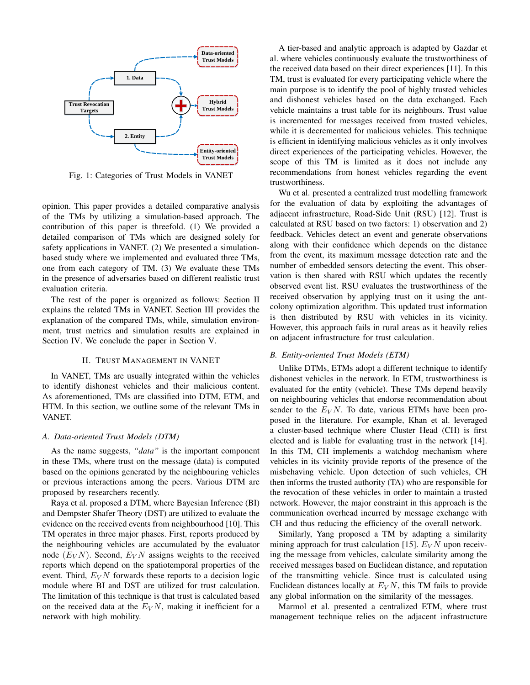

Fig. 1: Categories of Trust Models in VANET

opinion. This paper provides a detailed comparative analysis of the TMs by utilizing a simulation-based approach. The contribution of this paper is threefold. (1) We provided a detailed comparison of TMs which are designed solely for safety applications in VANET. (2) We presented a simulationbased study where we implemented and evaluated three TMs, one from each category of TM. (3) We evaluate these TMs in the presence of adversaries based on different realistic trust evaluation criteria.

The rest of the paper is organized as follows: Section II explains the related TMs in VANET. Section III provides the explanation of the compared TMs, while, simulation environment, trust metrics and simulation results are explained in Section IV. We conclude the paper in Section V.

# II. TRUST MANAGEMENT IN VANET

In VANET, TMs are usually integrated within the vehicles to identify dishonest vehicles and their malicious content. As aforementioned, TMs are classified into DTM, ETM, and HTM. In this section, we outline some of the relevant TMs in VANET.

# *A. Data-oriented Trust Models (DTM)*

As the name suggests, *"data"* is the important component in these TMs, where trust on the message (data) is computed based on the opinions generated by the neighbouring vehicles or previous interactions among the peers. Various DTM are proposed by researchers recently.

Raya et al. proposed a DTM, where Bayesian Inference (BI) and Dempster Shafer Theory (DST) are utilized to evaluate the evidence on the received events from neighbourhood [10]. This TM operates in three major phases. First, reports produced by the neighbouring vehicles are accumulated by the evaluator node  $(E_V N)$ . Second,  $E_V N$  assigns weights to the received reports which depend on the spatiotemporal properties of the event. Third,  $E_V N$  forwards these reports to a decision logic module where BI and DST are utilized for trust calculation. The limitation of this technique is that trust is calculated based on the received data at the  $E_V N$ , making it inefficient for a network with high mobility.

A tier-based and analytic approach is adapted by Gazdar et al. where vehicles continuously evaluate the trustworthiness of the received data based on their direct experiences [11]. In this TM, trust is evaluated for every participating vehicle where the main purpose is to identify the pool of highly trusted vehicles and dishonest vehicles based on the data exchanged. Each vehicle maintains a trust table for its neighbours. Trust value is incremented for messages received from trusted vehicles, while it is decremented for malicious vehicles. This technique is efficient in identifying malicious vehicles as it only involves direct experiences of the participating vehicles. However, the scope of this TM is limited as it does not include any recommendations from honest vehicles regarding the event trustworthiness.

Wu et al. presented a centralized trust modelling framework for the evaluation of data by exploiting the advantages of adjacent infrastructure, Road-Side Unit (RSU) [12]. Trust is calculated at RSU based on two factors: 1) observation and 2) feedback. Vehicles detect an event and generate observations along with their confidence which depends on the distance from the event, its maximum message detection rate and the number of embedded sensors detecting the event. This observation is then shared with RSU which updates the recently observed event list. RSU evaluates the trustworthiness of the received observation by applying trust on it using the antcolony optimization algorithm. This updated trust information is then distributed by RSU with vehicles in its vicinity. However, this approach fails in rural areas as it heavily relies on adjacent infrastructure for trust calculation.

# *B. Entity-oriented Trust Models (ETM)*

Unlike DTMs, ETMs adopt a different technique to identify dishonest vehicles in the network. In ETM, trustworthiness is evaluated for the entity (vehicle). These TMs depend heavily on neighbouring vehicles that endorse recommendation about sender to the  $E_V N$ . To date, various ETMs have been proposed in the literature. For example, Khan et al. leveraged a cluster-based technique where Cluster Head (CH) is first elected and is liable for evaluating trust in the network [14]. In this TM, CH implements a watchdog mechanism where vehicles in its vicinity provide reports of the presence of the misbehaving vehicle. Upon detection of such vehicles, CH then informs the trusted authority (TA) who are responsible for the revocation of these vehicles in order to maintain a trusted network. However, the major constraint in this approach is the communication overhead incurred by message exchange with CH and thus reducing the efficiency of the overall network.

Similarly, Yang proposed a TM by adapting a similarity mining approach for trust calculation [15].  $E_V N$  upon receiving the message from vehicles, calculate similarity among the received messages based on Euclidean distance, and reputation of the transmitting vehicle. Since trust is calculated using Euclidean distances locally at  $E_V N$ , this TM fails to provide any global information on the similarity of the messages.

Marmol et al. presented a centralized ETM, where trust management technique relies on the adjacent infrastructure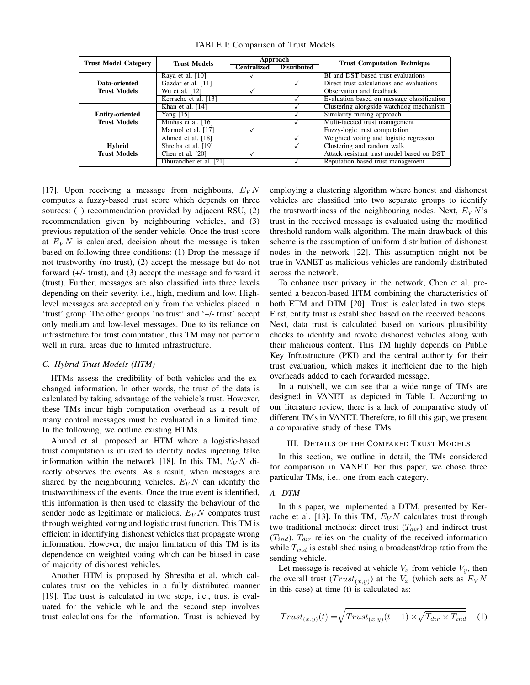| <b>Trust Model Category</b>                   | <b>Trust Models</b>    | Approach           |                    | <b>Trust Computation Technique</b>         |
|-----------------------------------------------|------------------------|--------------------|--------------------|--------------------------------------------|
|                                               |                        | <b>Centralized</b> | <b>Distributed</b> |                                            |
|                                               | Raya et al. $[10]$     |                    |                    | BI and DST based trust evaluations         |
| Data-oriented                                 | Gazdar et al. [11]     |                    |                    | Direct trust calculations and evaluations  |
| <b>Trust Models</b>                           | Wu et al. [12]         |                    |                    | Observation and feedback                   |
|                                               | Kerrache et al. [13]   |                    |                    | Evaluation based on message classification |
| <b>Entity-oriented</b><br><b>Trust Models</b> | Khan et al. [14]       |                    |                    | Clustering alongside watchdog mechanism    |
|                                               | Yang $[15]$            |                    |                    | Similarity mining approach                 |
|                                               | Minhas et al. [16]     |                    |                    | Multi-faceted trust management             |
|                                               | Marmol et al. [17]     |                    |                    | Fuzzy-logic trust computation              |
| Hybrid<br><b>Trust Models</b>                 | Ahmed et al. [18]      |                    |                    | Weighted voting and logistic regression    |
|                                               | Shretha et al. [19]    |                    |                    | Clustering and random walk                 |
|                                               | Chen et al. [20]       |                    |                    | Attack-resistant trust model based on DST  |
|                                               | Dhurandher et al. [21] |                    |                    | Reputation-based trust management          |

TABLE I: Comparison of Trust Models

[17]. Upon receiving a message from neighbours,  $E_V N$ computes a fuzzy-based trust score which depends on three sources: (1) recommendation provided by adjacent RSU, (2) recommendation given by neighbouring vehicles, and (3) previous reputation of the sender vehicle. Once the trust score at  $E_V N$  is calculated, decision about the message is taken based on following three conditions: (1) Drop the message if not trustworthy (no trust), (2) accept the message but do not forward (+/- trust), and (3) accept the message and forward it (trust). Further, messages are also classified into three levels depending on their severity, i.e., high, medium and low. Highlevel messages are accepted only from the vehicles placed in 'trust' group. The other groups 'no trust' and '+/- trust' accept only medium and low-level messages. Due to its reliance on infrastructure for trust computation, this TM may not perform well in rural areas due to limited infrastructure.

#### *C. Hybrid Trust Models (HTM)*

HTMs assess the credibility of both vehicles and the exchanged information. In other words, the trust of the data is calculated by taking advantage of the vehicle's trust. However, these TMs incur high computation overhead as a result of many control messages must be evaluated in a limited time. In the following, we outline existing HTMs.

Ahmed et al. proposed an HTM where a logistic-based trust computation is utilized to identify nodes injecting false information within the network [18]. In this TM,  $E_V N$  directly observes the events. As a result, when messages are shared by the neighbouring vehicles,  $E_V N$  can identify the trustworthiness of the events. Once the true event is identified, this information is then used to classify the behaviour of the sender node as legitimate or malicious.  $E_V N$  computes trust through weighted voting and logistic trust function. This TM is efficient in identifying dishonest vehicles that propagate wrong information. However, the major limitation of this TM is its dependence on weighted voting which can be biased in case of majority of dishonest vehicles.

Another HTM is proposed by Shrestha et al. which calculates trust on the vehicles in a fully distributed manner [19]. The trust is calculated in two steps, i.e., trust is evaluated for the vehicle while and the second step involves trust calculations for the information. Trust is achieved by employing a clustering algorithm where honest and dishonest vehicles are classified into two separate groups to identify the trustworthiness of the neighbouring nodes. Next,  $E_V N$ 's trust in the received message is evaluated using the modified threshold random walk algorithm. The main drawback of this scheme is the assumption of uniform distribution of dishonest nodes in the network [22]. This assumption might not be true in VANET as malicious vehicles are randomly distributed across the network.

To enhance user privacy in the network, Chen et al. presented a beacon-based HTM combining the characteristics of both ETM and DTM [20]. Trust is calculated in two steps. First, entity trust is established based on the received beacons. Next, data trust is calculated based on various plausibility checks to identify and revoke dishonest vehicles along with their malicious content. This TM highly depends on Public Key Infrastructure (PKI) and the central authority for their trust evaluation, which makes it inefficient due to the high overheads added to each forwarded message.

In a nutshell, we can see that a wide range of TMs are designed in VANET as depicted in Table I. According to our literature review, there is a lack of comparative study of different TMs in VANET. Therefore, to fill this gap, we present a comparative study of these TMs.

# III. DETAILS OF THE COMPARED TRUST MODELS

In this section, we outline in detail, the TMs considered for comparison in VANET. For this paper, we chose three particular TMs, i.e., one from each category.

# *A. DTM*

In this paper, we implemented a DTM, presented by Kerrache et al. [13]. In this TM,  $E_V N$  calculates trust through two traditional methods: direct trust  $(T_{dir})$  and indirect trust  $(T_{ind})$ .  $T_{dir}$  relies on the quality of the received information while  $T_{ind}$  is established using a broadcast/drop ratio from the sending vehicle.

Let message is received at vehicle  $V_x$  from vehicle  $V_y$ , then the overall trust  $(Trust_{(x,y)})$  at the  $V_x$  (which acts as  $E_V N$ in this case) at time (t) is calculated as:

$$
Trust_{(x,y)}(t) = \sqrt{Trust_{(x,y)}(t-1) \times \sqrt{T_{dir} \times T_{ind}}} \quad (1)
$$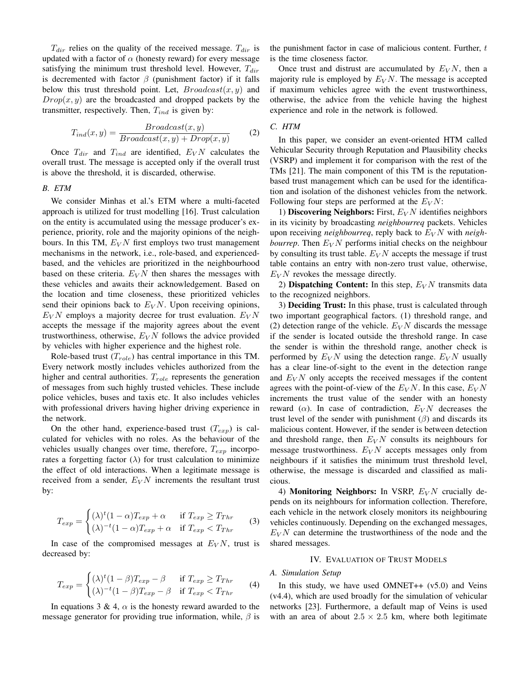$T_{dir}$  relies on the quality of the received message.  $T_{dir}$  is updated with a factor of  $\alpha$  (honesty reward) for every message satisfying the minimum trust threshold level. However,  $T_{dir}$ is decremented with factor  $\beta$  (punishment factor) if it falls below this trust threshold point. Let,  $Broadcast(x, y)$  and  $Drop(x, y)$  are the broadcasted and dropped packets by the transmitter, respectively. Then,  $T_{ind}$  is given by:

$$
T_{ind}(x,y) = \frac{Broadcast(x,y)}{Broadcast(x,y) + Drop(x,y)}
$$
 (2)

Once  $T_{dir}$  and  $T_{ind}$  are identified,  $E_V N$  calculates the overall trust. The message is accepted only if the overall trust is above the threshold, it is discarded, otherwise.

# *B. ETM*

We consider Minhas et al.'s ETM where a multi-faceted approach is utilized for trust modelling [16]. Trust calculation on the entity is accumulated using the message producer's experience, priority, role and the majority opinions of the neighbours. In this TM,  $E_V N$  first employs two trust management mechanisms in the network, i.e., role-based, and experiencedbased, and the vehicles are prioritized in the neighbourhood based on these criteria.  $E_V N$  then shares the messages with these vehicles and awaits their acknowledgement. Based on the location and time closeness, these prioritized vehicles send their opinions back to  $E_V N$ . Upon receiving opinions,  $E_V N$  employs a majority decree for trust evaluation.  $E_V N$ accepts the message if the majority agrees about the event trustworthiness, otherwise,  $E_V N$  follows the advice provided by vehicles with higher experience and the highest role.

Role-based trust  $(T_{role})$  has central importance in this TM. Every network mostly includes vehicles authorized from the higher and central authorities.  $T_{role}$  represents the generation of messages from such highly trusted vehicles. These include police vehicles, buses and taxis etc. It also includes vehicles with professional drivers having higher driving experience in the network.

On the other hand, experience-based trust  $(T_{exp})$  is calculated for vehicles with no roles. As the behaviour of the vehicles usually changes over time, therefore,  $T_{exp}$  incorporates a forgetting factor  $(\lambda)$  for trust calculation to minimize the effect of old interactions. When a legitimate message is received from a sender,  $E_V N$  increments the resultant trust by:

$$
T_{exp} = \begin{cases} (\lambda)^t (1 - \alpha) T_{exp} + \alpha & \text{if } T_{exp} \ge T_{Thr} \\ (\lambda)^{-t} (1 - \alpha) T_{exp} + \alpha & \text{if } T_{exp} < T_{Thr} \end{cases}
$$
(3)

In case of the compromised messages at  $E_V N$ , trust is decreased by:

$$
T_{exp} = \begin{cases} (\lambda)^t (1 - \beta) T_{exp} - \beta & \text{if } T_{exp} \ge T_{Thr} \\ (\lambda)^{-t} (1 - \beta) T_{exp} - \beta & \text{if } T_{exp} < T_{Thr} \end{cases}
$$
(4)

In equations 3 & 4,  $\alpha$  is the honesty reward awarded to the message generator for providing true information, while,  $\beta$  is

the punishment factor in case of malicious content. Further,  $t$ is the time closeness factor.

Once trust and distrust are accumulated by  $E_V N$ , then a majority rule is employed by  $E_V N$ . The message is accepted if maximum vehicles agree with the event trustworthiness, otherwise, the advice from the vehicle having the highest experience and role in the network is followed.

# *C. HTM*

In this paper, we consider an event-oriented HTM called Vehicular Security through Reputation and Plausibility checks (VSRP) and implement it for comparison with the rest of the TMs [21]. The main component of this TM is the reputationbased trust management which can be used for the identification and isolation of the dishonest vehicles from the network. Following four steps are performed at the  $E_V N$ :

1) Discovering Neighbors: First,  $E_V N$  identifies neighbors in its vicinity by broadcasting *neighbourreq* packets. Vehicles upon receiving *neighbourreq*, reply back to  $E_V N$  with *neighbourrep*. Then  $E_V N$  performs initial checks on the neighbour by consulting its trust table.  $E_V N$  accepts the message if trust table contains an entry with non-zero trust value, otherwise,  $E_V N$  revokes the message directly.

2) Dispatching Content: In this step,  $E_V N$  transmits data to the recognized neighbors.

3) Deciding Trust: In this phase, trust is calculated through two important geographical factors. (1) threshold range, and (2) detection range of the vehicle.  $E_V N$  discards the message if the sender is located outside the threshold range. In case the sender is within the threshold range, another check is performed by  $E_V N$  using the detection range.  $E_V N$  usually has a clear line-of-sight to the event in the detection range and  $E_V N$  only accepts the received messages if the content agrees with the point-of-view of the  $E_V N$ . In this case,  $E_V N$ increments the trust value of the sender with an honesty reward ( $\alpha$ ). In case of contradiction,  $E_V N$  decreases the trust level of the sender with punishment  $(\beta)$  and discards its malicious content. However, if the sender is between detection and threshold range, then  $E_V N$  consults its neighbours for message trustworthiness.  $E_V N$  accepts messages only from neighbours if it satisfies the minimum trust threshold level, otherwise, the message is discarded and classified as malicious.

4) Monitoring Neighbors: In VSRP,  $E_V N$  crucially depends on its neighbours for information collection. Therefore, each vehicle in the network closely monitors its neighbouring vehicles continuously. Depending on the exchanged messages,  $E_V N$  can determine the trustworthiness of the node and the shared messages.

# IV. EVALUATION OF TRUST MODELS

# *A. Simulation Setup*

In this study, we have used OMNET++  $(v5.0)$  and Veins (v4.4), which are used broadly for the simulation of vehicular networks [23]. Furthermore, a default map of Veins is used with an area of about  $2.5 \times 2.5$  km, where both legitimate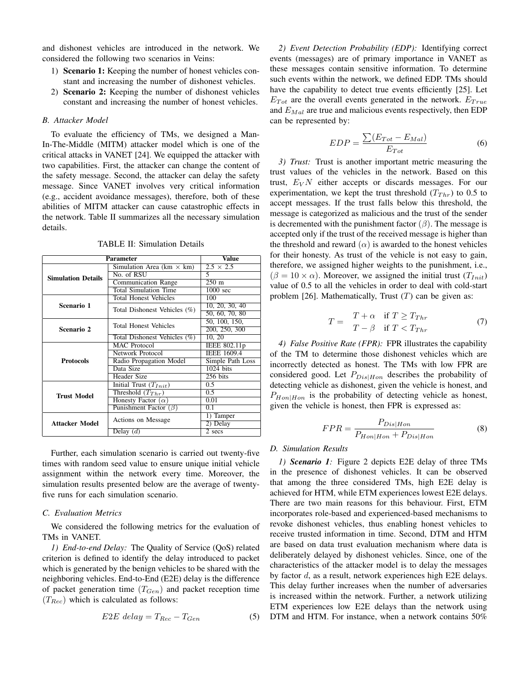and dishonest vehicles are introduced in the network. We considered the following two scenarios in Veins:

- 1) Scenario 1: Keeping the number of honest vehicles constant and increasing the number of dishonest vehicles.
- 2) **Scenario 2:** Keeping the number of dishonest vehicles constant and increasing the number of honest vehicles.

## *B. Attacker Model*

To evaluate the efficiency of TMs, we designed a Man-In-The-Middle (MITM) attacker model which is one of the critical attacks in VANET [24]. We equipped the attacker with two capabilities. First, the attacker can change the content of the safety message. Second, the attacker can delay the safety message. Since VANET involves very critical information (e.g., accident avoidance messages), therefore, both of these abilities of MITM attacker can cause catastrophic effects in the network. Table II summarizes all the necessary simulation details.

| <b>Parameter</b>          | <b>Value</b>                     |                    |
|---------------------------|----------------------------------|--------------------|
|                           | Simulation Area (km $\times$ km) | $2.5 \times 2.5$   |
| <b>Simulation Details</b> | No. of RSU                       | 5.                 |
|                           | <b>Communication Range</b>       | $250 \text{ m}$    |
|                           | <b>Total Simulation Time</b>     | $1000 \text{ sec}$ |
|                           | <b>Total Honest Vehicles</b>     | 100                |
| Scenario 1                | Total Dishonest Vehicles (%)     | 10, 20, 30, 40     |
|                           |                                  | 50, 60, 70, 80     |
|                           | <b>Total Honest Vehicles</b>     | 50, 100, 150,      |
| Scenario 2                |                                  | 200, 250, 300      |
|                           | Total Dishonest Vehicles (%)     | 10, 20             |
|                           | <b>MAC</b> Protocol              | IEEE 802.11p       |
|                           | Network Protocol                 | <b>IEEE 1609.4</b> |
| <b>Protocols</b>          | Radio Propagation Model          | Simple Path Loss   |
|                           | Data Size                        | $1024$ bits        |
|                           | Header Size                      | 256 bits           |
|                           | Initial Trust $(T_{Init})$       | $0.5^{\circ}$      |
| <b>Trust Model</b>        | Threshold $(T_{Thr})$            | 0.5                |
|                           | Honesty Factor $(\alpha)$        | 0.01               |
|                           | Punishment Factor $(\beta)$      | 0.1                |
|                           |                                  | 1) Tamper          |
| Attacker Model            | Actions on Message               | 2) Delay           |
|                           | Delay $(d)$                      | $2$ secs           |

TABLE II: Simulation Details

Further, each simulation scenario is carried out twenty-five times with random seed value to ensure unique initial vehicle assignment within the network every time. Moreover, the simulation results presented below are the average of twentyfive runs for each simulation scenario.

## *C. Evaluation Metrics*

We considered the following metrics for the evaluation of TMs in VANET.

*1) End-to-end Delay:* The Quality of Service (QoS) related criterion is defined to identify the delay introduced to packet which is generated by the benign vehicles to be shared with the neighboring vehicles. End-to-End (E2E) delay is the difference of packet generation time  $(T_{Gen})$  and packet reception time  $(T_{Rec})$  which is calculated as follows:

$$
E2E \text{ delay} = T_{Rec} - T_{Gen} \tag{5}
$$

*2) Event Detection Probability (EDP):* Identifying correct events (messages) are of primary importance in VANET as these messages contain sensitive information. To determine such events within the network, we defined EDP. TMs should have the capability to detect true events efficiently [25]. Let  $E_{Tot}$  are the overall events generated in the network.  $E_{True}$ and  $E_{Mal}$  are true and malicious events respectively, then EDP can be represented by:

$$
EDP = \frac{\sum (E_{Tot} - E_{Mal})}{E_{Tot}} \tag{6}
$$

*3) Trust:* Trust is another important metric measuring the trust values of the vehicles in the network. Based on this trust,  $E_V N$  either accepts or discards messages. For our experimentation, we kept the trust threshold  $(T_{Thr})$  to 0.5 to accept messages. If the trust falls below this threshold, the message is categorized as malicious and the trust of the sender is decremented with the punishment factor  $(\beta)$ . The message is accepted only if the trust of the received message is higher than the threshold and reward  $(\alpha)$  is awarded to the honest vehicles for their honesty. As trust of the vehicle is not easy to gain, therefore, we assigned higher weights to the punishment, i.e.,  $(\beta = 10 \times \alpha)$ . Moreover, we assigned the initial trust  $(T_{Init})$ value of 0.5 to all the vehicles in order to deal with cold-start problem [26]. Mathematically, Trust  $(T)$  can be given as:

$$
T = \begin{array}{cc} T + \alpha & \text{if } T \ge T_{Thr} \\ T - \beta & \text{if } T < T_{Thr} \end{array} \tag{7}
$$

*4) False Positive Rate (FPR):* FPR illustrates the capability of the TM to determine those dishonest vehicles which are incorrectly detected as honest. The TMs with low FPR are considered good. Let  $P_{Dis|Hom}$  describes the probability of detecting vehicle as dishonest, given the vehicle is honest, and  $P_{Hon|Hon}$  is the probability of detecting vehicle as honest, given the vehicle is honest, then FPR is expressed as:

$$
FPR = \frac{P_{Dis|Hon}}{P_{Hon|Hon} + P_{Dis|Hon}} \tag{8}
$$

## *D. Simulation Results*

*1) Scenario 1:* Figure 2 depicts E2E delay of three TMs in the presence of dishonest vehicles. It can be observed that among the three considered TMs, high E2E delay is achieved for HTM, while ETM experiences lowest E2E delays. There are two main reasons for this behaviour. First, ETM incorporates role-based and experienced-based mechanisms to revoke dishonest vehicles, thus enabling honest vehicles to receive trusted information in time. Second, DTM and HTM are based on data trust evaluation mechanism where data is deliberately delayed by dishonest vehicles. Since, one of the characteristics of the attacker model is to delay the messages by factor  $d$ , as a result, network experiences high E2E delays. This delay further increases when the number of adversaries is increased within the network. Further, a network utilizing ETM experiences low E2E delays than the network using DTM and HTM. For instance, when a network contains 50%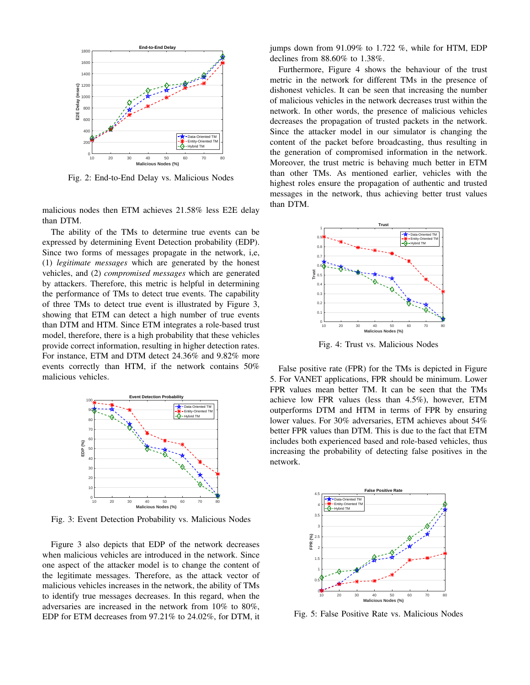

Fig. 2: End-to-End Delay vs. Malicious Nodes

malicious nodes then ETM achieves 21.58% less E2E delay than DTM.

The ability of the TMs to determine true events can be expressed by determining Event Detection probability (EDP). Since two forms of messages propagate in the network, i,e, (1) *legitimate messages* which are generated by the honest vehicles, and (2) *compromised messages* which are generated by attackers. Therefore, this metric is helpful in determining the performance of TMs to detect true events. The capability of three TMs to detect true event is illustrated by Figure 3, showing that ETM can detect a high number of true events than DTM and HTM. Since ETM integrates a role-based trust model, therefore, there is a high probability that these vehicles provide correct information, resulting in higher detection rates. For instance, ETM and DTM detect 24.36% and 9.82% more events correctly than HTM, if the network contains 50% malicious vehicles.



Fig. 3: Event Detection Probability vs. Malicious Nodes

Figure 3 also depicts that EDP of the network decreases when malicious vehicles are introduced in the network. Since one aspect of the attacker model is to change the content of the legitimate messages. Therefore, as the attack vector of malicious vehicles increases in the network, the ability of TMs to identify true messages decreases. In this regard, when the adversaries are increased in the network from 10% to 80%, EDP for ETM decreases from 97.21% to 24.02%, for DTM, it jumps down from 91.09% to 1.722 %, while for HTM, EDP declines from 88.60% to 1.38%.

Furthermore, Figure 4 shows the behaviour of the trust metric in the network for different TMs in the presence of dishonest vehicles. It can be seen that increasing the number of malicious vehicles in the network decreases trust within the network. In other words, the presence of malicious vehicles decreases the propagation of trusted packets in the network. Since the attacker model in our simulator is changing the content of the packet before broadcasting, thus resulting in the generation of compromised information in the network. Moreover, the trust metric is behaving much better in ETM than other TMs. As mentioned earlier, vehicles with the highest roles ensure the propagation of authentic and trusted messages in the network, thus achieving better trust values than DTM.



Fig. 4: Trust vs. Malicious Nodes

False positive rate (FPR) for the TMs is depicted in Figure 5. For VANET applications, FPR should be minimum. Lower FPR values mean better TM. It can be seen that the TMs achieve low FPR values (less than 4.5%), however, ETM outperforms DTM and HTM in terms of FPR by ensuring lower values. For 30% adversaries, ETM achieves about 54% better FPR values than DTM. This is due to the fact that ETM includes both experienced based and role-based vehicles, thus increasing the probability of detecting false positives in the network.



Fig. 5: False Positive Rate vs. Malicious Nodes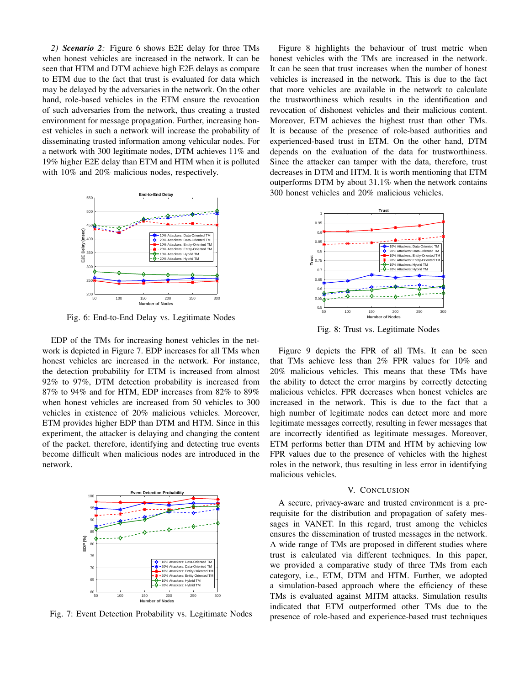*2) Scenario 2:* Figure 6 shows E2E delay for three TMs when honest vehicles are increased in the network. It can be seen that HTM and DTM achieve high E2E delays as compare to ETM due to the fact that trust is evaluated for data which may be delayed by the adversaries in the network. On the other hand, role-based vehicles in the ETM ensure the revocation of such adversaries from the network, thus creating a trusted environment for message propagation. Further, increasing honest vehicles in such a network will increase the probability of disseminating trusted information among vehicular nodes. For a network with 300 legitimate nodes, DTM achieves 11% and 19% higher E2E delay than ETM and HTM when it is polluted with 10% and 20% malicious nodes, respectively.



Fig. 6: End-to-End Delay vs. Legitimate Nodes

EDP of the TMs for increasing honest vehicles in the network is depicted in Figure 7. EDP increases for all TMs when honest vehicles are increased in the network. For instance, the detection probability for ETM is increased from almost 92% to 97%, DTM detection probability is increased from 87% to 94% and for HTM, EDP increases from 82% to 89% when honest vehicles are increased from 50 vehicles to 300 vehicles in existence of 20% malicious vehicles. Moreover, ETM provides higher EDP than DTM and HTM. Since in this experiment, the attacker is delaying and changing the content of the packet. therefore, identifying and detecting true events become difficult when malicious nodes are introduced in the network.



Fig. 7: Event Detection Probability vs. Legitimate Nodes

Figure 8 highlights the behaviour of trust metric when honest vehicles with the TMs are increased in the network. It can be seen that trust increases when the number of honest vehicles is increased in the network. This is due to the fact that more vehicles are available in the network to calculate the trustworthiness which results in the identification and revocation of dishonest vehicles and their malicious content. Moreover, ETM achieves the highest trust than other TMs. It is because of the presence of role-based authorities and experienced-based trust in ETM. On the other hand, DTM depends on the evaluation of the data for trustworthiness. Since the attacker can tamper with the data, therefore, trust decreases in DTM and HTM. It is worth mentioning that ETM outperforms DTM by about 31.1% when the network contains 300 honest vehicles and 20% malicious vehicles.



Fig. 8: Trust vs. Legitimate Nodes

Figure 9 depicts the FPR of all TMs. It can be seen that TMs achieve less than 2% FPR values for 10% and 20% malicious vehicles. This means that these TMs have the ability to detect the error margins by correctly detecting malicious vehicles. FPR decreases when honest vehicles are increased in the network. This is due to the fact that a high number of legitimate nodes can detect more and more legitimate messages correctly, resulting in fewer messages that are incorrectly identified as legitimate messages. Moreover, ETM performs better than DTM and HTM by achieving low FPR values due to the presence of vehicles with the highest roles in the network, thus resulting in less error in identifying malicious vehicles.

## V. CONCLUSION

A secure, privacy-aware and trusted environment is a prerequisite for the distribution and propagation of safety messages in VANET. In this regard, trust among the vehicles ensures the dissemination of trusted messages in the network. A wide range of TMs are proposed in different studies where trust is calculated via different techniques. In this paper, we provided a comparative study of three TMs from each category, i.e., ETM, DTM and HTM. Further, we adopted a simulation-based approach where the efficiency of these TMs is evaluated against MITM attacks. Simulation results indicated that ETM outperformed other TMs due to the presence of role-based and experience-based trust techniques